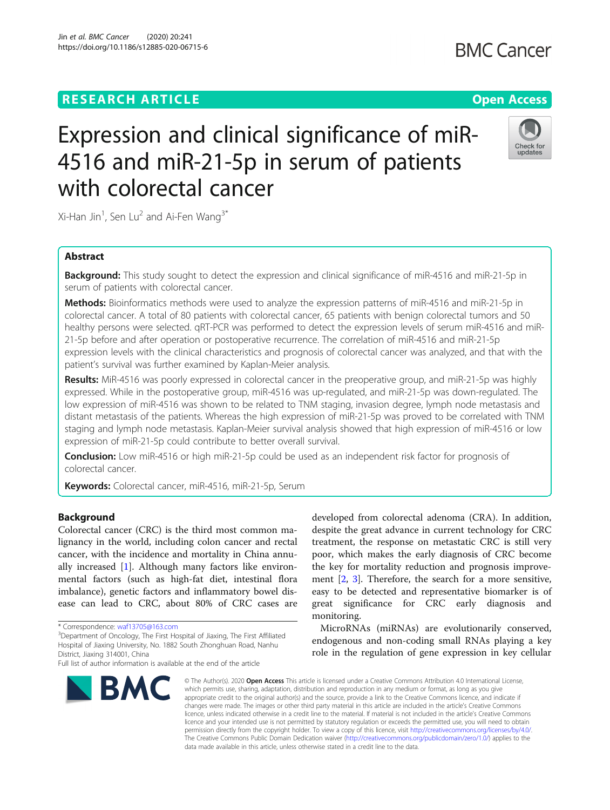# **RESEARCH ARTICLE Example 2014 12:30 The Contract of Contract ACCESS**

# Expression and clinical significance of miR-4516 and miR-21-5p in serum of patients with colorectal cancer

Xi-Han Jin<sup>1</sup>, Sen Lu<sup>2</sup> and Ai-Fen Wang<sup>3\*</sup>

# Abstract

**Background:** This study sought to detect the expression and clinical significance of miR-4516 and miR-21-5p in serum of patients with colorectal cancer.

Methods: Bioinformatics methods were used to analyze the expression patterns of miR-4516 and miR-21-5p in colorectal cancer. A total of 80 patients with colorectal cancer, 65 patients with benign colorectal tumors and 50 healthy persons were selected. qRT-PCR was performed to detect the expression levels of serum miR-4516 and miR-21-5p before and after operation or postoperative recurrence. The correlation of miR-4516 and miR-21-5p expression levels with the clinical characteristics and prognosis of colorectal cancer was analyzed, and that with the patient's survival was further examined by Kaplan-Meier analysis.

Results: MiR-4516 was poorly expressed in colorectal cancer in the preoperative group, and miR-21-5p was highly expressed. While in the postoperative group, miR-4516 was up-regulated, and miR-21-5p was down-regulated. The low expression of miR-4516 was shown to be related to TNM staging, invasion degree, lymph node metastasis and distant metastasis of the patients. Whereas the high expression of miR-21-5p was proved to be correlated with TNM staging and lymph node metastasis. Kaplan-Meier survival analysis showed that high expression of miR-4516 or low expression of miR-21-5p could contribute to better overall survival.

**Conclusion:** Low miR-4516 or high miR-21-5p could be used as an independent risk factor for prognosis of colorectal cancer.

Keywords: Colorectal cancer, miR-4516, miR-21-5p, Serum

# Background

Colorectal cancer (CRC) is the third most common malignancy in the world, including colon cancer and rectal cancer, with the incidence and mortality in China annually increased [[1\]](#page-6-0). Although many factors like environmental factors (such as high-fat diet, intestinal flora imbalance), genetic factors and inflammatory bowel disease can lead to CRC, about 80% of CRC cases are

<sup>3</sup>Department of Oncology, The First Hospital of Jiaxing, The First Affiliated Hospital of Jiaxing University, No. 1882 South Zhonghuan Road, Nanhu District, Jiaxing 314001, China



developed from colorectal adenoma (CRA). In addition, despite the great advance in current technology for CRC treatment, the response on metastatic CRC is still very poor, which makes the early diagnosis of CRC become the key for mortality reduction and prognosis improvement [\[2](#page-6-0), [3](#page-6-0)]. Therefore, the search for a more sensitive, easy to be detected and representative biomarker is of great significance for CRC early diagnosis and monitoring.

MicroRNAs (miRNAs) are evolutionarily conserved, endogenous and non-coding small RNAs playing a key role in the regulation of gene expression in key cellular

© The Author(s), 2020 **Open Access** This article is licensed under a Creative Commons Attribution 4.0 International License, which permits use, sharing, adaptation, distribution and reproduction in any medium or format, as long as you give appropriate credit to the original author(s) and the source, provide a link to the Creative Commons licence, and indicate if changes were made. The images or other third party material in this article are included in the article's Creative Commons licence, unless indicated otherwise in a credit line to the material. If material is not included in the article's Creative Commons licence and your intended use is not permitted by statutory regulation or exceeds the permitted use, you will need to obtain permission directly from the copyright holder. To view a copy of this licence, visit [http://creativecommons.org/licenses/by/4.0/.](http://creativecommons.org/licenses/by/4.0/) The Creative Commons Public Domain Dedication waiver [\(http://creativecommons.org/publicdomain/zero/1.0/](http://creativecommons.org/publicdomain/zero/1.0/)) applies to the data made available in this article, unless otherwise stated in a credit line to the data.



<sup>\*</sup> Correspondence: [waf13705@163.com](mailto:waf13705@163.com) <sup>3</sup>

Full list of author information is available at the end of the article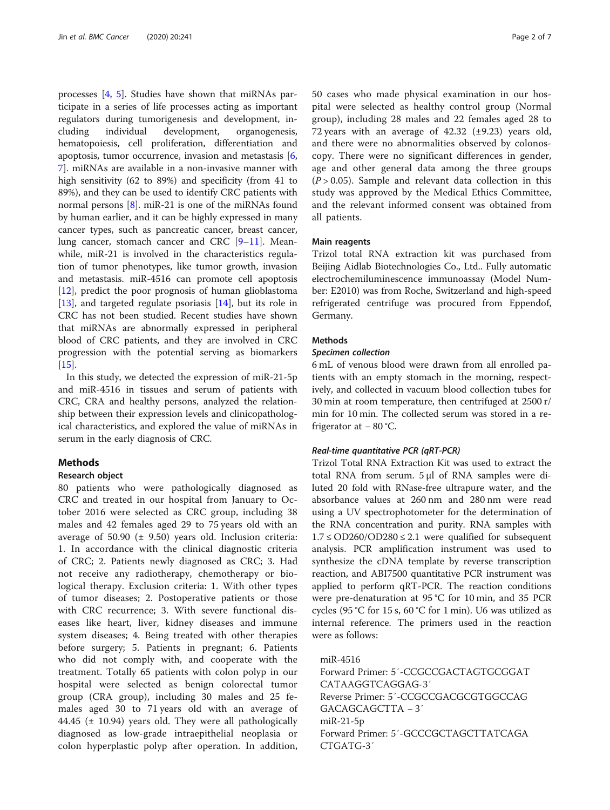processes [\[4](#page-6-0), [5](#page-6-0)]. Studies have shown that miRNAs participate in a series of life processes acting as important regulators during tumorigenesis and development, including individual development, organogenesis, hematopoiesis, cell proliferation, differentiation and apoptosis, tumor occurrence, invasion and metastasis [\[6](#page-6-0), [7\]](#page-6-0). miRNAs are available in a non-invasive manner with high sensitivity (62 to 89%) and specificity (from 41 to 89%), and they can be used to identify CRC patients with normal persons [[8\]](#page-6-0). miR-21 is one of the miRNAs found by human earlier, and it can be highly expressed in many cancer types, such as pancreatic cancer, breast cancer, lung cancer, stomach cancer and CRC [[9](#page-6-0)-[11](#page-6-0)]. Meanwhile, miR-21 is involved in the characteristics regulation of tumor phenotypes, like tumor growth, invasion and metastasis. miR-4516 can promote cell apoptosis [[12\]](#page-6-0), predict the poor prognosis of human glioblastoma [[13\]](#page-6-0), and targeted regulate psoriasis [\[14\]](#page-6-0), but its role in CRC has not been studied. Recent studies have shown that miRNAs are abnormally expressed in peripheral blood of CRC patients, and they are involved in CRC progression with the potential serving as biomarkers [[15\]](#page-6-0).

In this study, we detected the expression of miR-21-5p and miR-4516 in tissues and serum of patients with CRC, CRA and healthy persons, analyzed the relationship between their expression levels and clinicopathological characteristics, and explored the value of miRNAs in serum in the early diagnosis of CRC.

# Methods

## Research object

80 patients who were pathologically diagnosed as CRC and treated in our hospital from January to October 2016 were selected as CRC group, including 38 males and 42 females aged 29 to 75 years old with an average of 50.90  $(\pm 9.50)$  years old. Inclusion criteria: 1. In accordance with the clinical diagnostic criteria of CRC; 2. Patients newly diagnosed as CRC; 3. Had not receive any radiotherapy, chemotherapy or biological therapy. Exclusion criteria: 1. With other types of tumor diseases; 2. Postoperative patients or those with CRC recurrence; 3. With severe functional diseases like heart, liver, kidney diseases and immune system diseases; 4. Being treated with other therapies before surgery; 5. Patients in pregnant; 6. Patients who did not comply with, and cooperate with the treatment. Totally 65 patients with colon polyp in our hospital were selected as benign colorectal tumor group (CRA group), including 30 males and 25 females aged 30 to 71 years old with an average of 44.45 (± 10.94) years old. They were all pathologically diagnosed as low-grade intraepithelial neoplasia or colon hyperplastic polyp after operation. In addition,

50 cases who made physical examination in our hospital were selected as healthy control group (Normal group), including 28 males and 22 females aged 28 to 72 years with an average of  $42.32$  ( $\pm$ 9.23) years old, and there were no abnormalities observed by colonoscopy. There were no significant differences in gender, age and other general data among the three groups  $(P > 0.05)$ . Sample and relevant data collection in this study was approved by the Medical Ethics Committee, and the relevant informed consent was obtained from all patients.

#### Main reagents

Trizol total RNA extraction kit was purchased from Beijing Aidlab Biotechnologies Co., Ltd.. Fully automatic electrochemiluminescence immunoassay (Model Number: E2010) was from Roche, Switzerland and high-speed refrigerated centrifuge was procured from Eppendof, Germany.

# Methods

# Specimen collection

6 mL of venous blood were drawn from all enrolled patients with an empty stomach in the morning, respectively, and collected in vacuum blood collection tubes for 30 min at room temperature, then centrifuged at 2500 r/ min for 10 min. The collected serum was stored in a refrigerator at − 80 °C.

#### Real-time quantitative PCR (qRT-PCR)

Trizol Total RNA Extraction Kit was used to extract the total RNA from serum. 5 μl of RNA samples were diluted 20 fold with RNase-free ultrapure water, and the absorbance values at 260 nm and 280 nm were read using a UV spectrophotometer for the determination of the RNA concentration and purity. RNA samples with  $1.7 \leq$  OD260/OD280  $\leq$  2.1 were qualified for subsequent analysis. PCR amplification instrument was used to synthesize the cDNA template by reverse transcription reaction, and ABI7500 quantitative PCR instrument was applied to perform qRT-PCR. The reaction conditions were pre-denaturation at 95 °C for 10 min, and 35 PCR cycles (95 °C for 15 s, 60 °C for 1 min). U6 was utilized as internal reference. The primers used in the reaction were as follows:

miR-4516 Forward Primer: 5′-CCGCCGACTAGTGCGGAT CATAAGGTCAGGAG-3′ Reverse Primer: 5′-CCGCCGACGCGTGGCCAG GACAGCAGCTTA − 3′ miR-21-5p Forward Primer: 5′-GCCCGCTAGCTTATCAGA CTGATG-3′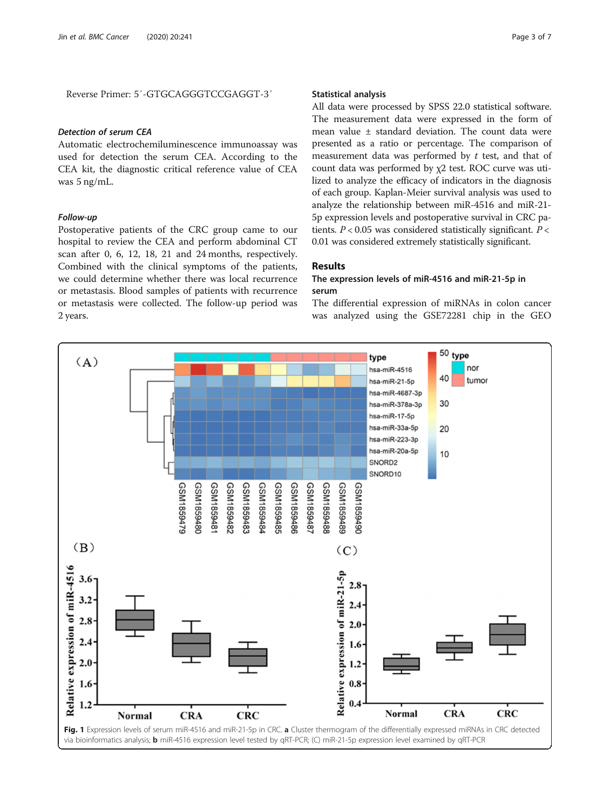<span id="page-2-0"></span>Reverse Primer: 5′-GTGCAGGGTCCGAGGT-3′

### Detection of serum CEA

Automatic electrochemiluminescence immunoassay was used for detection the serum CEA. According to the CEA kit, the diagnostic critical reference value of CEA was 5 ng/mL.

# Follow-up

Postoperative patients of the CRC group came to our hospital to review the CEA and perform abdominal CT scan after 0, 6, 12, 18, 21 and 24 months, respectively. Combined with the clinical symptoms of the patients, we could determine whether there was local recurrence or metastasis. Blood samples of patients with recurrence or metastasis were collected. The follow-up period was 2 years.

# Statistical analysis

All data were processed by SPSS 22.0 statistical software. The measurement data were expressed in the form of mean value ± standard deviation. The count data were presented as a ratio or percentage. The comparison of measurement data was performed by  $t$  test, and that of count data was performed by χ2 test. ROC curve was utilized to analyze the efficacy of indicators in the diagnosis of each group. Kaplan-Meier survival analysis was used to analyze the relationship between miR-4516 and miR-21- 5p expression levels and postoperative survival in CRC patients.  $P < 0.05$  was considered statistically significant.  $P <$ 0.01 was considered extremely statistically significant.

# Results

# The expression levels of miR-4516 and miR-21-5p in serum

The differential expression of miRNAs in colon cancer was analyzed using the GSE72281 chip in the GEO

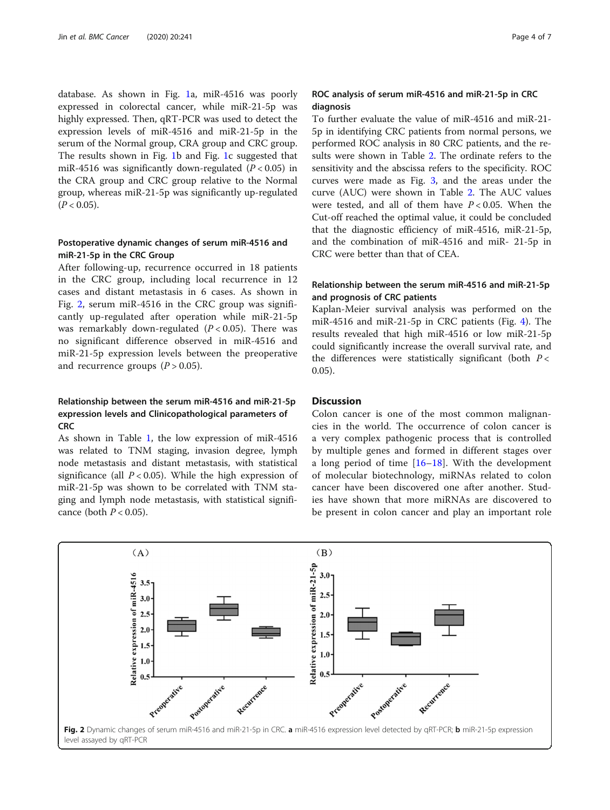database. As shown in Fig. [1](#page-2-0)a, miR-4516 was poorly expressed in colorectal cancer, while miR-21-5p was highly expressed. Then, qRT-PCR was used to detect the expression levels of miR-4516 and miR-21-5p in the serum of the Normal group, CRA group and CRC group. The results shown in Fig. [1](#page-2-0)b and Fig. [1](#page-2-0)c suggested that miR-4516 was significantly down-regulated ( $P < 0.05$ ) in the CRA group and CRC group relative to the Normal group, whereas miR-21-5p was significantly up-regulated  $(P < 0.05)$ .

# Postoperative dynamic changes of serum miR-4516 and miR-21-5p in the CRC Group

After following-up, recurrence occurred in 18 patients in the CRC group, including local recurrence in 12 cases and distant metastasis in 6 cases. As shown in Fig. 2, serum miR-4516 in the CRC group was significantly up-regulated after operation while miR-21-5p was remarkably down-regulated  $(P < 0.05)$ . There was no significant difference observed in miR-4516 and miR-21-5p expression levels between the preoperative and recurrence groups  $(P > 0.05)$ .

# Relationship between the serum miR-4516 and miR-21-5p expression levels and Clinicopathological parameters of **CRC**

As shown in Table [1,](#page-4-0) the low expression of miR-4516 was related to TNM staging, invasion degree, lymph node metastasis and distant metastasis, with statistical significance (all  $P < 0.05$ ). While the high expression of miR-21-5p was shown to be correlated with TNM staging and lymph node metastasis, with statistical significance (both  $P < 0.05$ ).

# ROC analysis of serum miR-4516 and miR-21-5p in CRC diagnosis

To further evaluate the value of miR-4516 and miR-21- 5p in identifying CRC patients from normal persons, we performed ROC analysis in 80 CRC patients, and the results were shown in Table [2.](#page-4-0) The ordinate refers to the sensitivity and the abscissa refers to the specificity. ROC curves were made as Fig. [3](#page-5-0), and the areas under the curve (AUC) were shown in Table [2.](#page-4-0) The AUC values were tested, and all of them have  $P < 0.05$ . When the Cut-off reached the optimal value, it could be concluded that the diagnostic efficiency of miR-4516, miR-21-5p, and the combination of miR-4516 and miR- 21-5p in CRC were better than that of CEA.

# Relationship between the serum miR-4516 and miR-21-5p and prognosis of CRC patients

Kaplan-Meier survival analysis was performed on the miR-4516 and miR-21-5p in CRC patients (Fig. [4](#page-5-0)). The results revealed that high miR-4516 or low miR-21-5p could significantly increase the overall survival rate, and the differences were statistically significant (both  $P \lt \mathbb{R}$ 0.05).

# Discussion

Colon cancer is one of the most common malignancies in the world. The occurrence of colon cancer is a very complex pathogenic process that is controlled by multiple genes and formed in different stages over a long period of time [[16](#page-6-0)–[18](#page-6-0)]. With the development of molecular biotechnology, miRNAs related to colon cancer have been discovered one after another. Studies have shown that more miRNAs are discovered to be present in colon cancer and play an important role

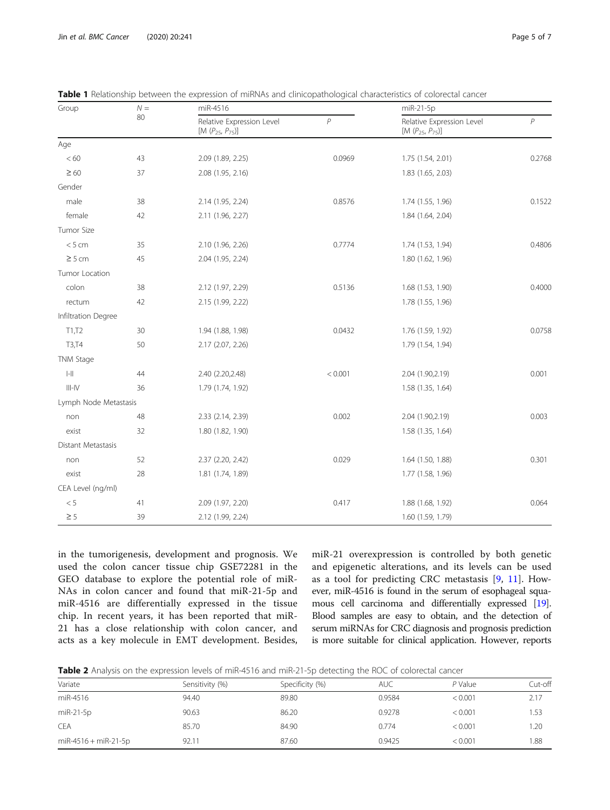| Group                                 | ${\cal N} =$ | miR-4516                                             |                | miR-21-5p                                           |                |
|---------------------------------------|--------------|------------------------------------------------------|----------------|-----------------------------------------------------|----------------|
|                                       | 80           | Relative Expression Level<br>[M $(P_{25}, P_{75})$ ] | $\overline{P}$ | Relative Expression Level<br>$[M (P_{25}, P_{75})]$ | $\overline{P}$ |
| Age                                   |              |                                                      |                |                                                     |                |
| < 60                                  | 43           | 2.09 (1.89, 2.25)                                    | 0.0969         | 1.75 (1.54, 2.01)                                   | 0.2768         |
| $\geq 60$                             | 37           | 2.08 (1.95, 2.16)                                    |                | 1.83 (1.65, 2.03)                                   |                |
| Gender                                |              |                                                      |                |                                                     |                |
| male                                  | 38           | 2.14 (1.95, 2.24)                                    | 0.8576         | 1.74 (1.55, 1.96)                                   | 0.1522         |
| female                                | 42           | 2.11 (1.96, 2.27)                                    |                | 1.84 (1.64, 2.04)                                   |                |
| Tumor Size                            |              |                                                      |                |                                                     |                |
| < 5 cm                                | 35           | 2.10 (1.96, 2.26)                                    | 0.7774         | 1.74 (1.53, 1.94)                                   | 0.4806         |
| $\geq$ 5 cm                           | 45           | 2.04 (1.95, 2.24)                                    |                | 1.80 (1.62, 1.96)                                   |                |
| Tumor Location                        |              |                                                      |                |                                                     |                |
| colon                                 | 38           | 2.12 (1.97, 2.29)                                    | 0.5136         | 1.68 (1.53, 1.90)                                   | 0.4000         |
| rectum                                | 42           | 2.15 (1.99, 2.22)                                    |                | 1.78 (1.55, 1.96)                                   |                |
| Infiltration Degree                   |              |                                                      |                |                                                     |                |
| T1,T2                                 | 30           | 1.94 (1.88, 1.98)                                    | 0.0432         | 1.76 (1.59, 1.92)                                   | 0.0758         |
| T3,T4                                 | 50           | 2.17 (2.07, 2.26)                                    |                | 1.79 (1.54, 1.94)                                   |                |
| TNM Stage                             |              |                                                      |                |                                                     |                |
| $\left\vert -\right\vert \right\vert$ | 44           | 2.40 (2.20,2.48)                                     | < 0.001        | 2.04 (1.90,2.19)                                    | 0.001          |
| $III$ -IV                             | 36           | 1.79 (1.74, 1.92)                                    |                | 1.58 (1.35, 1.64)                                   |                |
| Lymph Node Metastasis                 |              |                                                      |                |                                                     |                |
| non                                   | 48           | 2.33 (2.14, 2.39)                                    | 0.002          | 2.04 (1.90,2.19)                                    | 0.003          |
| exist                                 | 32           | 1.80 (1.82, 1.90)                                    |                | 1.58 (1.35, 1.64)                                   |                |
| Distant Metastasis                    |              |                                                      |                |                                                     |                |
| non                                   | 52           | 2.37 (2.20, 2.42)                                    | 0.029          | 1.64 (1.50, 1.88)                                   | 0.301          |
| exist                                 | 28           | 1.81 (1.74, 1.89)                                    |                | 1.77 (1.58, 1.96)                                   |                |
| CEA Level (ng/ml)                     |              |                                                      |                |                                                     |                |
| $< 5\,$                               | 41           | 2.09 (1.97, 2.20)                                    | 0.417          | 1.88 (1.68, 1.92)                                   | 0.064          |
| $\geq$ 5                              | 39           | 2.12 (1.99, 2.24)                                    |                | 1.60 (1.59, 1.79)                                   |                |

<span id="page-4-0"></span>

|  |  |  |  |  |  |  | <b>Table 1</b> Relationship between the expression of miRNAs and clinicopathological characteristics of colorectal cancer |  |  |
|--|--|--|--|--|--|--|---------------------------------------------------------------------------------------------------------------------------|--|--|
|--|--|--|--|--|--|--|---------------------------------------------------------------------------------------------------------------------------|--|--|

in the tumorigenesis, development and prognosis. We used the colon cancer tissue chip GSE72281 in the GEO database to explore the potential role of miR-NAs in colon cancer and found that miR-21-5p and miR-4516 are differentially expressed in the tissue chip. In recent years, it has been reported that miR-21 has a close relationship with colon cancer, and acts as a key molecule in EMT development. Besides, miR-21 overexpression is controlled by both genetic and epigenetic alterations, and its levels can be used as a tool for predicting CRC metastasis [\[9](#page-6-0), [11](#page-6-0)]. However, miR-4516 is found in the serum of esophageal squamous cell carcinoma and differentially expressed [\[19](#page-6-0)]. Blood samples are easy to obtain, and the detection of serum miRNAs for CRC diagnosis and prognosis prediction is more suitable for clinical application. However, reports

Table 2 Analysis on the expression levels of miR-4516 and miR-21-5p detecting the ROC of colorectal cancer

| Variate                | Sensitivity (%) | Specificity (%) | <b>AUC</b> | $P$ Value | Cut-off |
|------------------------|-----------------|-----------------|------------|-----------|---------|
| miR-4516               | 94.40           | 89.80           | 0.9584     | < 0.001   | 2.17    |
| $miR-21-5p$            | 90.63           | 86.20           | 0.9278     | < 0.001   | 1.53    |
| CEA                    | 85.70           | 84.90           | 0.774      | < 0.001   | 1.20    |
| $miR-4516 + miR-21-5p$ | 92.11           | 87.60           | 0.9425     | < 0.001   | 1.88    |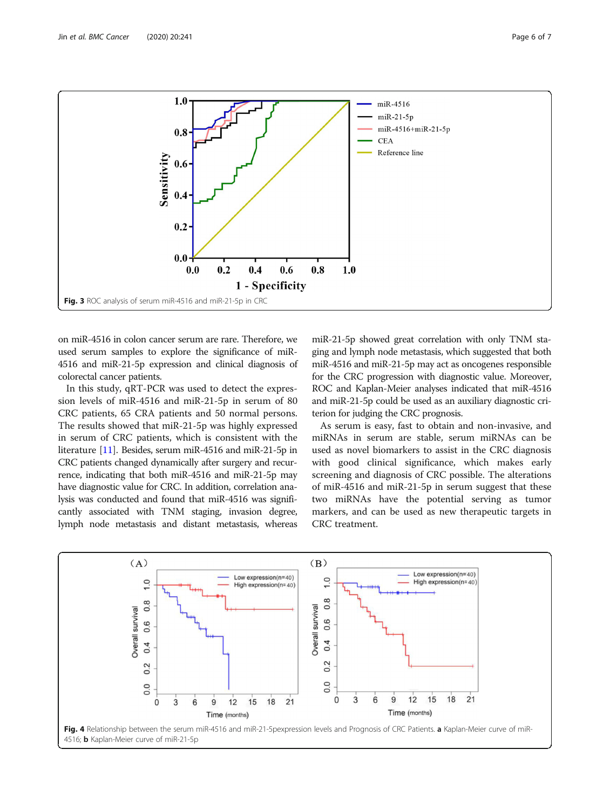<span id="page-5-0"></span>

on miR-4516 in colon cancer serum are rare. Therefore, we used serum samples to explore the significance of miR-4516 and miR-21-5p expression and clinical diagnosis of colorectal cancer patients.

In this study, qRT-PCR was used to detect the expression levels of miR-4516 and miR-21-5p in serum of 80 CRC patients, 65 CRA patients and 50 normal persons. The results showed that miR-21-5p was highly expressed in serum of CRC patients, which is consistent with the literature [\[11](#page-6-0)]. Besides, serum miR-4516 and miR-21-5p in CRC patients changed dynamically after surgery and recurrence, indicating that both miR-4516 and miR-21-5p may have diagnostic value for CRC. In addition, correlation analysis was conducted and found that miR-4516 was significantly associated with TNM staging, invasion degree, lymph node metastasis and distant metastasis, whereas

miR-21-5p showed great correlation with only TNM staging and lymph node metastasis, which suggested that both miR-4516 and miR-21-5p may act as oncogenes responsible for the CRC progression with diagnostic value. Moreover, ROC and Kaplan-Meier analyses indicated that miR-4516 and miR-21-5p could be used as an auxiliary diagnostic criterion for judging the CRC prognosis.

As serum is easy, fast to obtain and non-invasive, and miRNAs in serum are stable, serum miRNAs can be used as novel biomarkers to assist in the CRC diagnosis with good clinical significance, which makes early screening and diagnosis of CRC possible. The alterations of miR-4516 and miR-21-5p in serum suggest that these two miRNAs have the potential serving as tumor markers, and can be used as new therapeutic targets in CRC treatment.